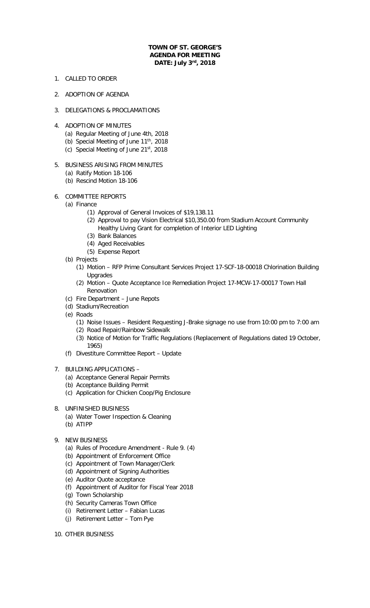## **TOWN OF ST. GEORGE'S AGENDA FOR MEETING DATE: July 3rd, 2018**

- 1. CALLED TO ORDER
- 2. ADOPTION OF AGENDA
- 3. DELEGATIONS & PROCLAMATIONS
- 4. ADOPTION OF MINUTES
	- (a) Regular Meeting of June 4th, 2018
	- (b) Special Meeting of June 11<sup>th</sup>, 2018
	- (c) Special Meeting of June 21st, 2018
- 5. BUSINESS ARISING FROM MINUTES
	- (a) Ratify Motion 18-106
	- (b) Rescind Motion 18-106
- 6. COMMITTEE REPORTS
	- (a) Finance
		- (1) Approval of General Invoices of \$19,138.11
		- (2) Approval to pay Vision Electrical \$10,350.00 from Stadium Account Community
		- Healthy Living Grant for completion of Interior LED Lighting
		- (3) Bank Balances
		- (4) Aged Receivables
		- (5) Expense Report
	- (b) Projects
		- (1) Motion RFP Prime Consultant Services Project 17-SCF-18-00018 Chlorination Building Upgrades
		- (2) Motion Quote Acceptance Ice Remediation Project 17-MCW-17-00017 Town Hall Renovation
	- (c) Fire Department June Repots
	- (d) Stadium/Recreation
	- (e) Roads
		- (1) Noise Issues Resident Requesting J-Brake signage no use from 10:00 pm to 7:00 am
		- (2) Road Repair/Rainbow Sidewalk
		- (3) Notice of Motion for Traffic Regulations (Replacement of Regulations dated 19 October, 1965)
	- (f) Divestiture Committee Report Update
- 7. BUILDING APPLICATIONS
	- (a) Acceptance General Repair Permits
	- (b) Acceptance Building Permit
	- (c) Application for Chicken Coop/Pig Enclosure
- 8. UNFINISHED BUSINESS
	- (a) Water Tower Inspection & Cleaning
	- (b) ATIPP
- 9. NEW BUSINESS
	- (a) Rules of Procedure Amendment Rule 9. (4)
	- (b) Appointment of Enforcement Office
	- (c) Appointment of Town Manager/Clerk
	- (d) Appointment of Signing Authorities
	- (e) Auditor Quote acceptance
	- (f) Appointment of Auditor for Fiscal Year 2018
	- (g) Town Scholarship
	- (h) Security Cameras Town Office
	- (i) Retirement Letter Fabian Lucas
	- (j) Retirement Letter Tom Pye
- 10. OTHER BUSINESS